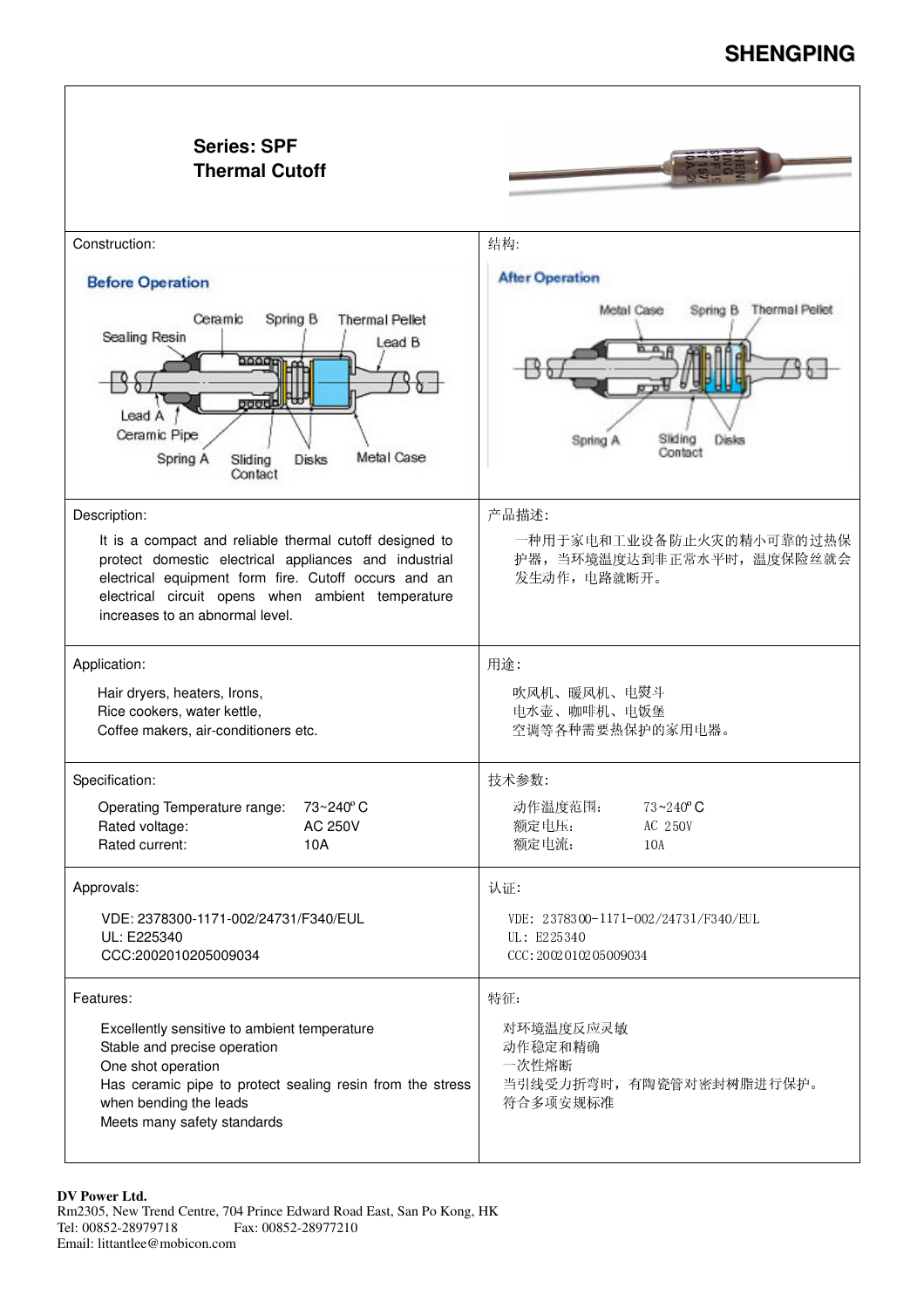## **SHENGPING**

| <b>Series: SPF</b><br><b>Thermal Cutoff</b>                                                                                                                                                                                                                                      |                                                                                     |
|----------------------------------------------------------------------------------------------------------------------------------------------------------------------------------------------------------------------------------------------------------------------------------|-------------------------------------------------------------------------------------|
| Construction:                                                                                                                                                                                                                                                                    | 结构:                                                                                 |
| <b>Before Operation</b>                                                                                                                                                                                                                                                          | <b>After Operation</b>                                                              |
| Ceramic<br>Spring B<br><b>Thermal Pellet</b><br>Sealing Resin<br>Lead B<br>oooot<br><b>poppell</b><br>Lead A<br>Ceramic Pipe<br>Metal Case<br>Spring A<br>Sliding<br>Disks<br>Contact                                                                                            | Spring B Thermal Pellet<br>Metal Case<br>Sliding<br>Disks<br>Spring A<br>Contact    |
| Description:<br>It is a compact and reliable thermal cutoff designed to<br>protect domestic electrical appliances and industrial<br>electrical equipment form fire. Cutoff occurs and an<br>electrical circuit opens when ambient temperature<br>increases to an abnormal level. | 产品描述:<br>一种用于家电和工业设备防止火灾的精小可靠的过热保<br>护器, 当环境温度达到非正常水平时, 温度保险丝就会<br>发生动作, 电路就断开。     |
| Application:<br>Hair dryers, heaters, Irons,<br>Rice cookers, water kettle,<br>Coffee makers, air-conditioners etc.                                                                                                                                                              | 用途:<br>吹风机、暖风机、电熨斗<br>电水壶、咖啡机、电饭堡<br>空调等各种需要热保护的家用电器。                               |
| Specification:<br>73~240°C<br>Operating Temperature range:<br>Rated voltage:<br><b>AC 250V</b><br>Rated current:<br>10A                                                                                                                                                          | 技术参数:<br>动作温度范围:<br>$73 - 240$ °C<br>额定电压:<br>AC 250V<br>额定电流:<br>10A               |
| Approvals:<br>VDE: 2378300-1171-002/24731/F340/EUL<br>UL: E225340<br>CCC:2002010205009034                                                                                                                                                                                        | 认证:<br>VDE: 2378300-1171-002/24731/F340/EUL<br>UL: E225340<br>CCC: 2002010205009034 |
| Features:<br>Excellently sensitive to ambient temperature<br>Stable and precise operation<br>One shot operation<br>Has ceramic pipe to protect sealing resin from the stress<br>when bending the leads<br>Meets many safety standards                                            | 特征:<br>对环境温度反应灵敏<br>动作稳定和精确<br>一次性熔断<br>当引线受力折弯时, 有陶瓷管对密封树脂进行保护。<br>符合多项安规标准        |